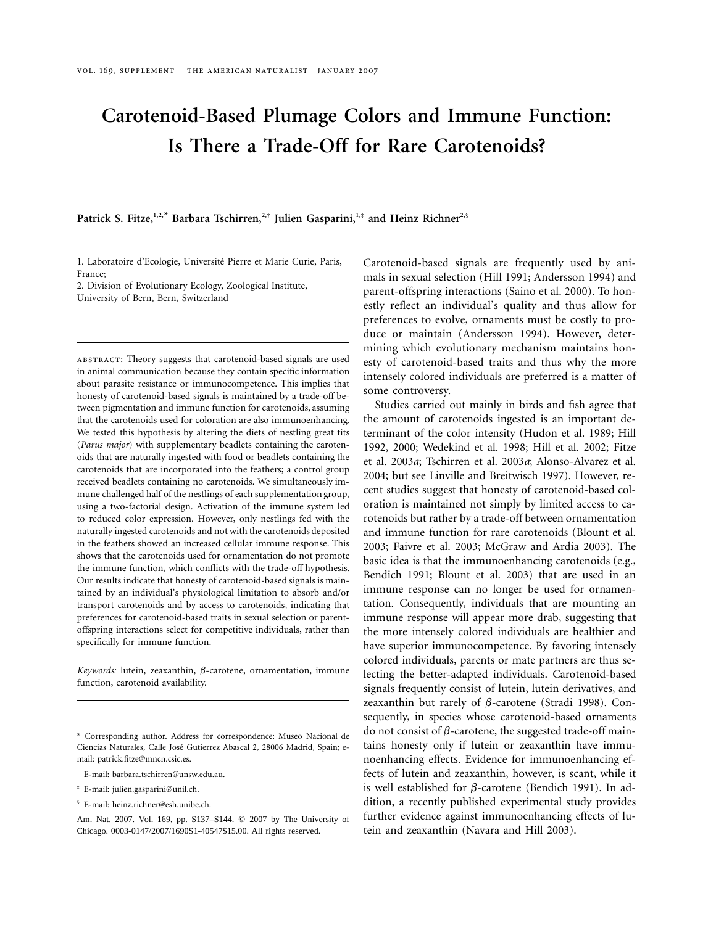# **Carotenoid-Based Plumage Colors and Immune Function: Is There a Trade-Off for Rare Carotenoids?**

**Patrick S. Fitze,1,2,**\* **Barbara Tschirren,2,**† **Julien Gasparini,1,**‡ **and Heinz Richner2,**§

1. Laboratoire d'Ecologie, Université Pierre et Marie Curie, Paris, France;

2. Division of Evolutionary Ecology, Zoological Institute, University of Bern, Bern, Switzerland

abstract: Theory suggests that carotenoid-based signals are used in animal communication because they contain specific information about parasite resistance or immunocompetence. This implies that honesty of carotenoid-based signals is maintained by a trade-off between pigmentation and immune function for carotenoids, assuming that the carotenoids used for coloration are also immunoenhancing. We tested this hypothesis by altering the diets of nestling great tits (*Parus major*) with supplementary beadlets containing the carotenoids that are naturally ingested with food or beadlets containing the carotenoids that are incorporated into the feathers; a control group received beadlets containing no carotenoids. We simultaneously immune challenged half of the nestlings of each supplementation group, using a two-factorial design. Activation of the immune system led to reduced color expression. However, only nestlings fed with the naturally ingested carotenoids and not with the carotenoids deposited in the feathers showed an increased cellular immune response. This shows that the carotenoids used for ornamentation do not promote the immune function, which conflicts with the trade-off hypothesis. Our results indicate that honesty of carotenoid-based signals is maintained by an individual's physiological limitation to absorb and/or transport carotenoids and by access to carotenoids, indicating that preferences for carotenoid-based traits in sexual selection or parentoffspring interactions select for competitive individuals, rather than specifically for immune function.

*Keywords*: lutein, zeaxanthin, β-carotene, ornamentation, immune function, carotenoid availability.

- ‡ E-mail: julien.gasparini@unil.ch.
- § E-mail: heinz.richner@esh.unibe.ch.

Carotenoid-based signals are frequently used by animals in sexual selection (Hill 1991; Andersson 1994) and parent-offspring interactions (Saino et al. 2000). To honestly reflect an individual's quality and thus allow for preferences to evolve, ornaments must be costly to produce or maintain (Andersson 1994). However, determining which evolutionary mechanism maintains honesty of carotenoid-based traits and thus why the more intensely colored individuals are preferred is a matter of some controversy.

Studies carried out mainly in birds and fish agree that the amount of carotenoids ingested is an important determinant of the color intensity (Hudon et al. 1989; Hill 1992, 2000; Wedekind et al. 1998; Hill et al. 2002; Fitze et al. 2003*a*; Tschirren et al. 2003*a*; Alonso-Alvarez et al. 2004; but see Linville and Breitwisch 1997). However, recent studies suggest that honesty of carotenoid-based coloration is maintained not simply by limited access to carotenoids but rather by a trade-off between ornamentation and immune function for rare carotenoids (Blount et al. 2003; Faivre et al. 2003; McGraw and Ardia 2003). The basic idea is that the immunoenhancing carotenoids (e.g., Bendich 1991; Blount et al. 2003) that are used in an immune response can no longer be used for ornamentation. Consequently, individuals that are mounting an immune response will appear more drab, suggesting that the more intensely colored individuals are healthier and have superior immunocompetence. By favoring intensely colored individuals, parents or mate partners are thus selecting the better-adapted individuals. Carotenoid-based signals frequently consist of lutein, lutein derivatives, and zeaxanthin but rarely of  $\beta$ -carotene (Stradi 1998). Consequently, in species whose carotenoid-based ornaments do not consist of  $\beta$ -carotene, the suggested trade-off maintains honesty only if lutein or zeaxanthin have immunoenhancing effects. Evidence for immunoenhancing effects of lutein and zeaxanthin, however, is scant, while it is well established for  $\beta$ -carotene (Bendich 1991). In addition, a recently published experimental study provides further evidence against immunoenhancing effects of lutein and zeaxanthin (Navara and Hill 2003).

<sup>\*</sup> Corresponding author. Address for correspondence: Museo Nacional de Ciencias Naturales, Calle José Gutierrez Abascal 2, 28006 Madrid, Spain; email: patrick.fitze@mncn.csic.es.

<sup>†</sup> E-mail: barbara.tschirren@unsw.edu.au.

Am. Nat. 2007. Vol. 169, pp. S137-S144. @ 2007 by The University of Chicago. 0003-0147/2007/1690S1-40547\$15.00. All rights reserved.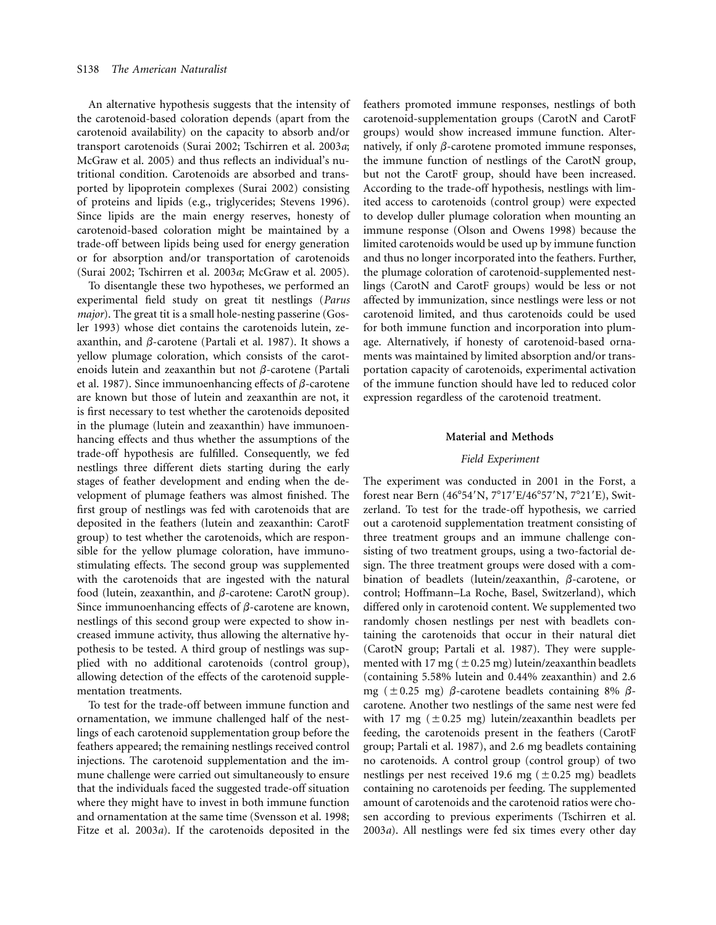An alternative hypothesis suggests that the intensity of the carotenoid-based coloration depends (apart from the carotenoid availability) on the capacity to absorb and/or transport carotenoids (Surai 2002; Tschirren et al. 2003*a*; McGraw et al. 2005) and thus reflects an individual's nutritional condition. Carotenoids are absorbed and transported by lipoprotein complexes (Surai 2002) consisting of proteins and lipids (e.g., triglycerides; Stevens 1996). Since lipids are the main energy reserves, honesty of carotenoid-based coloration might be maintained by a trade-off between lipids being used for energy generation or for absorption and/or transportation of carotenoids (Surai 2002; Tschirren et al. 2003*a*; McGraw et al. 2005).

To disentangle these two hypotheses, we performed an experimental field study on great tit nestlings (*Parus major*). The great tit is a small hole-nesting passerine (Gosler 1993) whose diet contains the carotenoids lutein, zeaxanthin, and  $\beta$ -carotene (Partali et al. 1987). It shows a yellow plumage coloration, which consists of the carotenoids lutein and zeaxanthin but not  $\beta$ -carotene (Partali et al. 1987). Since immunoenhancing effects of  $\beta$ -carotene are known but those of lutein and zeaxanthin are not, it is first necessary to test whether the carotenoids deposited in the plumage (lutein and zeaxanthin) have immunoenhancing effects and thus whether the assumptions of the trade-off hypothesis are fulfilled. Consequently, we fed nestlings three different diets starting during the early stages of feather development and ending when the development of plumage feathers was almost finished. The first group of nestlings was fed with carotenoids that are deposited in the feathers (lutein and zeaxanthin: CarotF group) to test whether the carotenoids, which are responsible for the yellow plumage coloration, have immunostimulating effects. The second group was supplemented with the carotenoids that are ingested with the natural food (lutein, zeaxanthin, and  $\beta$ -carotene: CarotN group). Since immunoenhancing effects of  $\beta$ -carotene are known, nestlings of this second group were expected to show increased immune activity, thus allowing the alternative hypothesis to be tested. A third group of nestlings was supplied with no additional carotenoids (control group), allowing detection of the effects of the carotenoid supplementation treatments.

To test for the trade-off between immune function and ornamentation, we immune challenged half of the nestlings of each carotenoid supplementation group before the feathers appeared; the remaining nestlings received control injections. The carotenoid supplementation and the immune challenge were carried out simultaneously to ensure that the individuals faced the suggested trade-off situation where they might have to invest in both immune function and ornamentation at the same time (Svensson et al. 1998; Fitze et al. 2003*a*). If the carotenoids deposited in the

feathers promoted immune responses, nestlings of both carotenoid-supplementation groups (CarotN and CarotF groups) would show increased immune function. Alternatively, if only  $\beta$ -carotene promoted immune responses, the immune function of nestlings of the CarotN group, but not the CarotF group, should have been increased. According to the trade-off hypothesis, nestlings with limited access to carotenoids (control group) were expected to develop duller plumage coloration when mounting an immune response (Olson and Owens 1998) because the limited carotenoids would be used up by immune function and thus no longer incorporated into the feathers. Further, the plumage coloration of carotenoid-supplemented nestlings (CarotN and CarotF groups) would be less or not affected by immunization, since nestlings were less or not carotenoid limited, and thus carotenoids could be used for both immune function and incorporation into plumage. Alternatively, if honesty of carotenoid-based ornaments was maintained by limited absorption and/or transportation capacity of carotenoids, experimental activation of the immune function should have led to reduced color expression regardless of the carotenoid treatment.

## **Material and Methods**

#### *Field Experiment*

The experiment was conducted in 2001 in the Forst, a forest near Bern (46°54'N, 7°17'E/46°57'N, 7°21'E), Switzerland. To test for the trade-off hypothesis, we carried out a carotenoid supplementation treatment consisting of three treatment groups and an immune challenge consisting of two treatment groups, using a two-factorial design. The three treatment groups were dosed with a combination of beadlets (lutein/zeaxanthin,  $\beta$ -carotene, or control; Hoffmann–La Roche, Basel, Switzerland), which differed only in carotenoid content. We supplemented two randomly chosen nestlings per nest with beadlets containing the carotenoids that occur in their natural diet (CarotN group; Partali et al. 1987). They were supplemented with 17 mg ( $\pm$ 0.25 mg) lutein/zeaxanthin beadlets (containing 5.58% lutein and 0.44% zeaxanthin) and 2.6 mg ( $\pm$ 0.25 mg)  $\beta$ -carotene beadlets containing 8%  $\beta$ carotene. Another two nestlings of the same nest were fed with 17 mg ( $\pm$ 0.25 mg) lutein/zeaxanthin beadlets per feeding, the carotenoids present in the feathers (CarotF group; Partali et al. 1987), and 2.6 mg beadlets containing no carotenoids. A control group (control group) of two nestlings per nest received 19.6 mg ( $\pm$ 0.25 mg) beadlets containing no carotenoids per feeding. The supplemented amount of carotenoids and the carotenoid ratios were chosen according to previous experiments (Tschirren et al. 2003*a*). All nestlings were fed six times every other day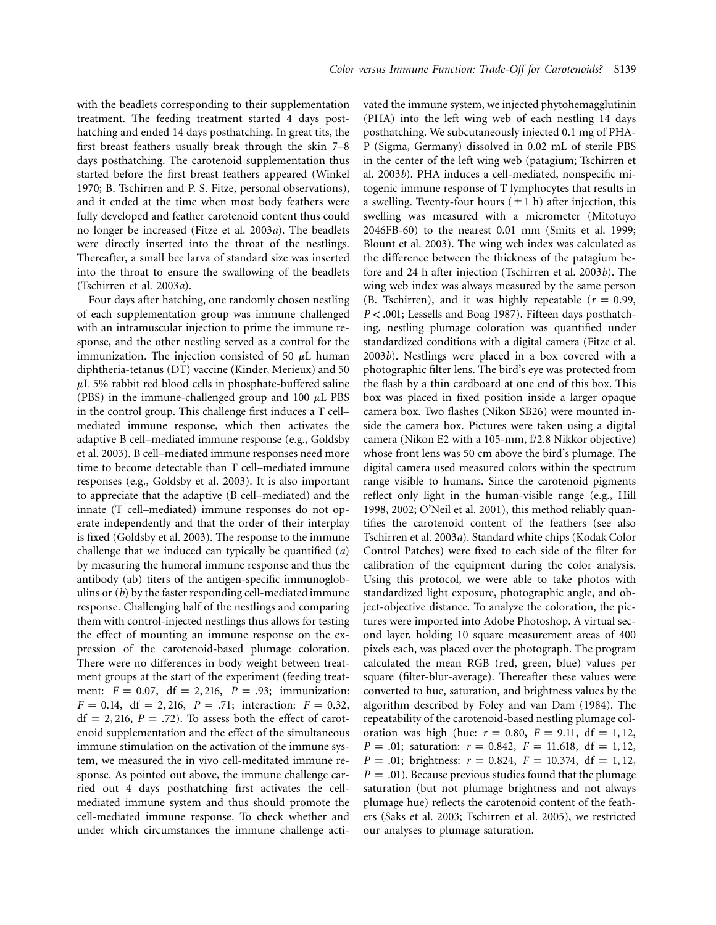with the beadlets corresponding to their supplementation treatment. The feeding treatment started 4 days posthatching and ended 14 days posthatching. In great tits, the first breast feathers usually break through the skin 7–8 days posthatching. The carotenoid supplementation thus started before the first breast feathers appeared (Winkel 1970; B. Tschirren and P. S. Fitze, personal observations), and it ended at the time when most body feathers were fully developed and feather carotenoid content thus could no longer be increased (Fitze et al. 2003*a*). The beadlets were directly inserted into the throat of the nestlings. Thereafter, a small bee larva of standard size was inserted into the throat to ensure the swallowing of the beadlets (Tschirren et al. 2003*a*).

Four days after hatching, one randomly chosen nestling of each supplementation group was immune challenged with an intramuscular injection to prime the immune response, and the other nestling served as a control for the immunization. The injection consisted of 50  $\mu$ L human diphtheria-tetanus (DT) vaccine (Kinder, Merieux) and 50  $\mu$ L 5% rabbit red blood cells in phosphate-buffered saline (PBS) in the immune-challenged group and 100  $\mu$ L PBS in the control group. This challenge first induces a T cell– mediated immune response, which then activates the adaptive B cell–mediated immune response (e.g., Goldsby et al. 2003). B cell–mediated immune responses need more time to become detectable than T cell–mediated immune responses (e.g., Goldsby et al. 2003). It is also important to appreciate that the adaptive (B cell–mediated) and the innate (T cell–mediated) immune responses do not operate independently and that the order of their interplay is fixed (Goldsby et al. 2003). The response to the immune challenge that we induced can typically be quantified (*a*) by measuring the humoral immune response and thus the antibody (ab) titers of the antigen-specific immunoglobulins or (*b*) by the faster responding cell-mediated immune response. Challenging half of the nestlings and comparing them with control-injected nestlings thus allows for testing the effect of mounting an immune response on the expression of the carotenoid-based plumage coloration. There were no differences in body weight between treatment groups at the start of the experiment (feeding treatment:  $F = 0.07$ ,  $df = 2,216$ ,  $P = .93$ ; immunization:  $F = 0.14$ ,  $df = 2,216$ ,  $P = .71$ ; interaction:  $F = 0.32$ ,  $df = 2, 216, P = .72$ . To assess both the effect of carotenoid supplementation and the effect of the simultaneous immune stimulation on the activation of the immune system, we measured the in vivo cell-meditated immune response. As pointed out above, the immune challenge carried out 4 days posthatching first activates the cellmediated immune system and thus should promote the cell-mediated immune response. To check whether and under which circumstances the immune challenge acti-

vated the immune system, we injected phytohemagglutinin (PHA) into the left wing web of each nestling 14 days posthatching. We subcutaneously injected 0.1 mg of PHA-P (Sigma, Germany) dissolved in 0.02 mL of sterile PBS in the center of the left wing web (patagium; Tschirren et al. 2003*b*). PHA induces a cell-mediated, nonspecific mitogenic immune response of T lymphocytes that results in a swelling. Twenty-four hours  $(\pm 1 \text{ h})$  after injection, this swelling was measured with a micrometer (Mitotuyo 2046FB-60) to the nearest 0.01 mm (Smits et al. 1999; Blount et al. 2003). The wing web index was calculated as the difference between the thickness of the patagium before and 24 h after injection (Tschirren et al. 2003*b*). The wing web index was always measured by the same person (B. Tschirren), and it was highly repeatable ( $r = 0.99$ , *P* < .001; Lessells and Boag 1987). Fifteen days posthatching, nestling plumage coloration was quantified under standardized conditions with a digital camera (Fitze et al. 2003*b*). Nestlings were placed in a box covered with a photographic filter lens. The bird's eye was protected from the flash by a thin cardboard at one end of this box. This box was placed in fixed position inside a larger opaque camera box. Two flashes (Nikon SB26) were mounted inside the camera box. Pictures were taken using a digital camera (Nikon E2 with a 105-mm, f/2.8 Nikkor objective) whose front lens was 50 cm above the bird's plumage. The digital camera used measured colors within the spectrum range visible to humans. Since the carotenoid pigments reflect only light in the human-visible range (e.g., Hill 1998, 2002; O'Neil et al. 2001), this method reliably quantifies the carotenoid content of the feathers (see also Tschirren et al. 2003*a*). Standard white chips (Kodak Color Control Patches) were fixed to each side of the filter for calibration of the equipment during the color analysis. Using this protocol, we were able to take photos with standardized light exposure, photographic angle, and object-objective distance. To analyze the coloration, the pictures were imported into Adobe Photoshop. A virtual second layer, holding 10 square measurement areas of 400 pixels each, was placed over the photograph. The program calculated the mean RGB (red, green, blue) values per square (filter-blur-average). Thereafter these values were converted to hue, saturation, and brightness values by the algorithm described by Foley and van Dam (1984). The repeatability of the carotenoid-based nestling plumage coloration was high (hue:  $r = 0.80$ ,  $F = 9.11$ , df = 1, 12,  $P = .01$ ; saturation:  $r = 0.842$ ,  $F = 11.618$ , df = 1, 12,  $P = .01$ ; brightness:  $r = 0.824$ ,  $F = 10.374$ , df = 1, 12,  $P = .01$ ). Because previous studies found that the plumage saturation (but not plumage brightness and not always plumage hue) reflects the carotenoid content of the feathers (Saks et al. 2003; Tschirren et al. 2005), we restricted our analyses to plumage saturation.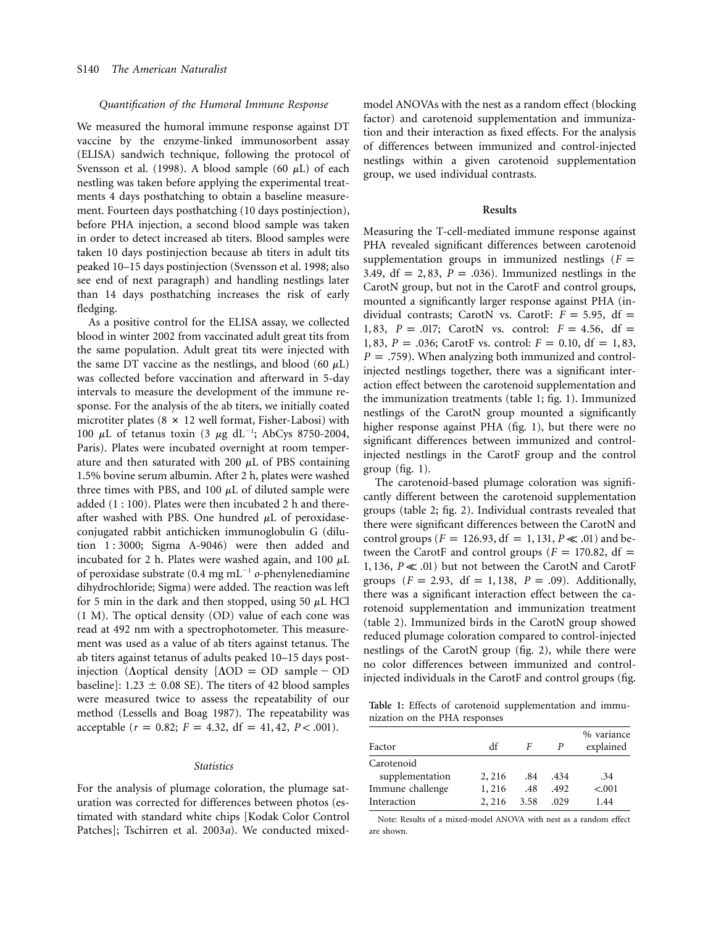## *Quantification of the Humoral Immune Response*

We measured the humoral immune response against DT vaccine by the enzyme-linked immunosorbent assay (ELISA) sandwich technique, following the protocol of Svensson et al. (1998). A blood sample (60  $\mu$ L) of each nestling was taken before applying the experimental treatments 4 days posthatching to obtain a baseline measurement. Fourteen days posthatching (10 days postinjection), before PHA injection, a second blood sample was taken in order to detect increased ab titers. Blood samples were taken 10 days postinjection because ab titers in adult tits peaked 10–15 days postinjection (Svensson et al. 1998; also see end of next paragraph) and handling nestlings later than 14 days posthatching increases the risk of early fledging.

As a positive control for the ELISA assay, we collected blood in winter 2002 from vaccinated adult great tits from the same population. Adult great tits were injected with the same DT vaccine as the nestlings, and blood (60  $\mu$ L) was collected before vaccination and afterward in 5-day intervals to measure the development of the immune response. For the analysis of the ab titers, we initially coated microtiter plates ( $8 \times 12$  well format, Fisher-Labosi) with 100  $\mu$ L of tetanus toxin (3  $\mu$ g dL<sup>-1</sup>; AbCys 8750-2004, Paris). Plates were incubated overnight at room temperature and then saturated with 200  $\mu$ L of PBS containing 1.5% bovine serum albumin. After 2 h, plates were washed three times with PBS, and 100  $\mu$ L of diluted sample were added (1 : 100). Plates were then incubated 2 h and thereafter washed with PBS. One hundred  $\mu$ L of peroxidaseconjugated rabbit antichicken immunoglobulin G (dilution 1 : 3000; Sigma A-9046) were then added and incubated for 2 h. Plates were washed again, and 100  $\mu$ L of peroxidase substrate (0.4 mg mL<sup>-1</sup> *o*-phenylenediamine dihydrochloride; Sigma) were added. The reaction was left for 5 min in the dark and then stopped, using 50  $\mu$ L HCl (1 M). The optical density (OD) value of each cone was read at 492 nm with a spectrophotometer. This measurement was used as a value of ab titers against tetanus. The ab titers against tetanus of adults peaked 10–15 days postinjection ( $\Lambda$ optical density  $[\Lambda$ OD = OD sample – OD baseline]:  $1.23 \pm 0.08$  SE). The titers of 42 blood samples were measured twice to assess the repeatability of our method (Lessells and Boag 1987). The repeatability was acceptable  $(r = 0.82; F = 4.32, df = 41, 42, P < .001)$ .

#### *Statistics*

For the analysis of plumage coloration, the plumage saturation was corrected for differences between photos (estimated with standard white chips [Kodak Color Control Patches]; Tschirren et al. 2003*a*). We conducted mixedmodel ANOVAs with the nest as a random effect (blocking factor) and carotenoid supplementation and immunization and their interaction as fixed effects. For the analysis of differences between immunized and control-injected nestlings within a given carotenoid supplementation group, we used individual contrasts.

## **Results**

Measuring the T-cell-mediated immune response against PHA revealed significant differences between carotenoid supplementation groups in immunized nestlings  $(F =$ 3.49,  $df = 2, 83, P = .036$ . Immunized nestlings in the CarotN group, but not in the CarotF and control groups, mounted a significantly larger response against PHA (individual contrasts; CarotN vs. CarotF:  $F = 5.95$ , df = 1, 83,  $P = .017$ ; CarotN vs. control:  $F = 4.56$ , df = 1, 83,  $P = .036$ ; CarotF vs. control:  $F = 0.10$ , df = 1, 83,  $P = .759$ ). When analyzing both immunized and controlinjected nestlings together, there was a significant interaction effect between the carotenoid supplementation and the immunization treatments (table 1; fig. 1). Immunized nestlings of the CarotN group mounted a significantly higher response against PHA (fig. 1), but there were no significant differences between immunized and controlinjected nestlings in the CarotF group and the control group (fig. 1).

The carotenoid-based plumage coloration was significantly different between the carotenoid supplementation groups (table 2; fig. 2). Individual contrasts revealed that there were significant differences between the CarotN and control groups ( $F = 126.93$ , df = 1, 131,  $P \ll .01$ ) and between the CarotF and control groups ( $F = 170.82$ , df = 1, 136,  $P \ll .01$ ) but not between the CarotN and CarotF groups  $(F = 2.93, df = 1, 138, P = .09)$ . Additionally, there was a significant interaction effect between the carotenoid supplementation and immunization treatment (table 2). Immunized birds in the CarotN group showed reduced plumage coloration compared to control-injected nestlings of the CarotN group (fig. 2), while there were no color differences between immunized and controlinjected individuals in the CarotF and control groups (fig.

**Table 1:** Effects of carotenoid supplementation and immunization on the PHA responses

|                  |        |      |      | % variance |
|------------------|--------|------|------|------------|
| Factor           | df     | F    | P    | explained  |
| Carotenoid       |        |      |      |            |
| supplementation  | 2, 216 | .84  | .434 | .34        |
| Immune challenge | 1, 216 | .48  | .492 | < 0.001    |
| Interaction      | 2, 216 | 3.58 | .029 | 1.44       |
|                  |        |      |      |            |

Note: Results of a mixed-model ANOVA with nest as a random effect are shown.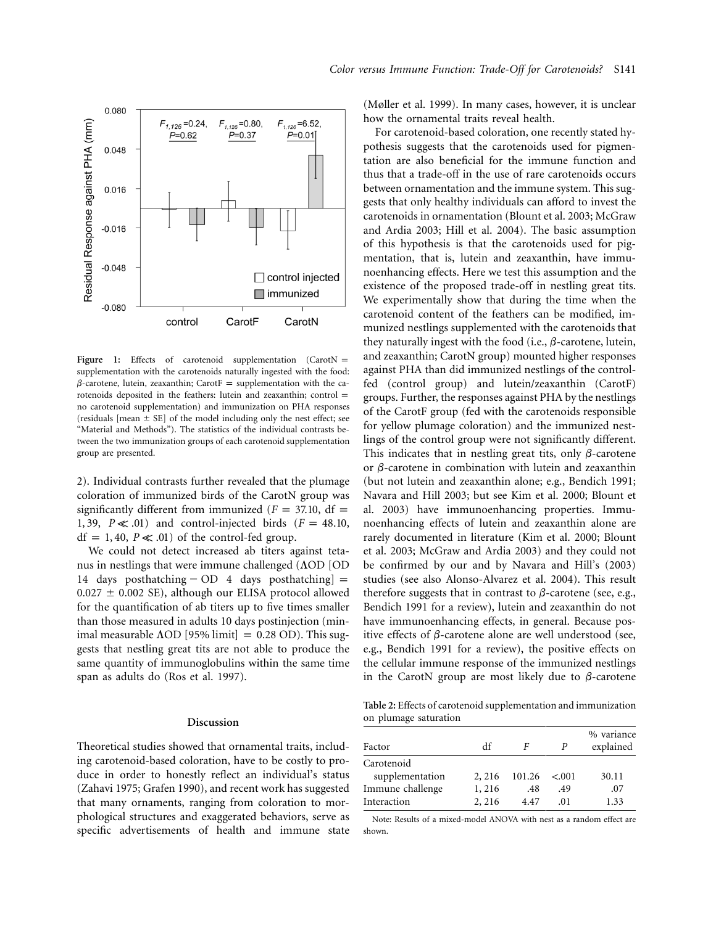

Figure 1: Effects of carotenoid supplementation (CarotN = supplementation with the carotenoids naturally ingested with the food:  $\beta$ -carotene, lutein, zeaxanthin; CarotF = supplementation with the carotenoids deposited in the feathers: lutein and zeaxanthin; control  $=$ no carotenoid supplementation) and immunization on PHA responses (residuals [mean  $\pm$  SE] of the model including only the nest effect; see "Material and Methods"). The statistics of the individual contrasts between the two immunization groups of each carotenoid supplementation group are presented.

2). Individual contrasts further revealed that the plumage coloration of immunized birds of the CarotN group was significantly different from immunized ( $F = 37.10$ , df = 1, 39,  $P \ll .01$  and control-injected birds ( $F = 48.10$ ,  $df = 1, 40, P \ll .01$  of the control-fed group.

We could not detect increased ab titers against tetanus in nestlings that were immune challenged  $(\Lambda$ OD [OD 14 days posthatching  $-$  OD 4 days posthatching  $=$  $0.027 \pm 0.002$  SE), although our ELISA protocol allowed for the quantification of ab titers up to five times smaller than those measured in adults 10 days postinjection (minimal measurable  $\Lambda$ OD [95% limit] = 0.28 OD). This suggests that nestling great tits are not able to produce the same quantity of immunoglobulins within the same time span as adults do (Ros et al. 1997).

#### **Discussion**

Theoretical studies showed that ornamental traits, including carotenoid-based coloration, have to be costly to produce in order to honestly reflect an individual's status (Zahavi 1975; Grafen 1990), and recent work has suggested that many ornaments, ranging from coloration to morphological structures and exaggerated behaviors, serve as specific advertisements of health and immune state

(Møller et al. 1999). In many cases, however, it is unclear how the ornamental traits reveal health.

For carotenoid-based coloration, one recently stated hypothesis suggests that the carotenoids used for pigmentation are also beneficial for the immune function and thus that a trade-off in the use of rare carotenoids occurs between ornamentation and the immune system. This suggests that only healthy individuals can afford to invest the carotenoids in ornamentation (Blount et al. 2003; McGraw and Ardia 2003; Hill et al. 2004). The basic assumption of this hypothesis is that the carotenoids used for pigmentation, that is, lutein and zeaxanthin, have immunoenhancing effects. Here we test this assumption and the existence of the proposed trade-off in nestling great tits. We experimentally show that during the time when the carotenoid content of the feathers can be modified, immunized nestlings supplemented with the carotenoids that they naturally ingest with the food (i.e.,  $\beta$ -carotene, lutein, and zeaxanthin; CarotN group) mounted higher responses against PHA than did immunized nestlings of the controlfed (control group) and lutein/zeaxanthin (CarotF) groups. Further, the responses against PHA by the nestlings of the CarotF group (fed with the carotenoids responsible for yellow plumage coloration) and the immunized nestlings of the control group were not significantly different. This indicates that in nestling great tits, only  $\beta$ -carotene or  $\beta$ -carotene in combination with lutein and zeaxanthin (but not lutein and zeaxanthin alone; e.g., Bendich 1991; Navara and Hill 2003; but see Kim et al. 2000; Blount et al. 2003) have immunoenhancing properties. Immunoenhancing effects of lutein and zeaxanthin alone are rarely documented in literature (Kim et al. 2000; Blount et al. 2003; McGraw and Ardia 2003) and they could not be confirmed by our and by Navara and Hill's (2003) studies (see also Alonso-Alvarez et al. 2004). This result therefore suggests that in contrast to  $\beta$ -carotene (see, e.g., Bendich 1991 for a review), lutein and zeaxanthin do not have immunoenhancing effects, in general. Because positive effects of  $\beta$ -carotene alone are well understood (see, e.g., Bendich 1991 for a review), the positive effects on the cellular immune response of the immunized nestlings in the CarotN group are most likely due to  $\beta$ -carotene

**Table 2:** Effects of carotenoid supplementation and immunization on plumage saturation

| Factor           | df     | F                  | P   | % variance<br>explained |
|------------------|--------|--------------------|-----|-------------------------|
| Carotenoid       |        |                    |     |                         |
| supplementation  | 2, 216 | $101.26 \le 0.001$ |     | 30.11                   |
| Immune challenge | 1, 216 | .48                | .49 | .07                     |
| Interaction      | 2, 216 | 4.47               | .01 | 1.33                    |
|                  |        |                    |     |                         |

Note: Results of a mixed-model ANOVA with nest as a random effect are shown.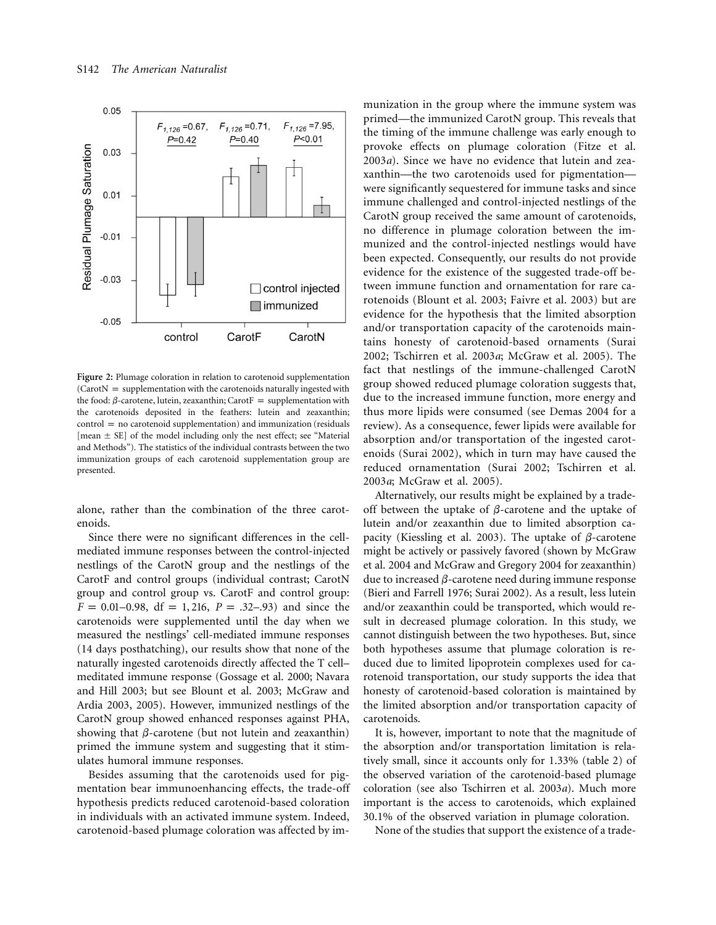

**Figure 2:** Plumage coloration in relation to carotenoid supplementation  $(CarotN =$  supplementation with the carotenoids naturally ingested with the food:  $\beta$ -carotene, lutein, zeaxanthin; Carot $F =$  supplementation with the carotenoids deposited in the feathers: lutein and zeaxanthin;  $control = no$  carotenoid supplementation) and immunization (residuals [mean  $\pm$  SE] of the model including only the nest effect; see "Material and Methods"). The statistics of the individual contrasts between the two immunization groups of each carotenoid supplementation group are presented.

alone, rather than the combination of the three carotenoids.

Since there were no significant differences in the cellmediated immune responses between the control-injected nestlings of the CarotN group and the nestlings of the CarotF and control groups (individual contrast; CarotN group and control group vs. CarotF and control group:  $F = 0.01 - 0.98$ , df = 1, 216,  $P = .32 - .93$  and since the carotenoids were supplemented until the day when we measured the nestlings' cell-mediated immune responses (14 days posthatching), our results show that none of the naturally ingested carotenoids directly affected the T cell– meditated immune response (Gossage et al. 2000; Navara and Hill 2003; but see Blount et al. 2003; McGraw and Ardia 2003, 2005). However, immunized nestlings of the CarotN group showed enhanced responses against PHA, showing that  $\beta$ -carotene (but not lutein and zeaxanthin) primed the immune system and suggesting that it stimulates humoral immune responses.

Besides assuming that the carotenoids used for pigmentation bear immunoenhancing effects, the trade-off hypothesis predicts reduced carotenoid-based coloration in individuals with an activated immune system. Indeed, carotenoid-based plumage coloration was affected by immunization in the group where the immune system was primed—the immunized CarotN group. This reveals that the timing of the immune challenge was early enough to provoke effects on plumage coloration (Fitze et al. 2003*a*). Since we have no evidence that lutein and zeaxanthin—the two carotenoids used for pigmentation were significantly sequestered for immune tasks and since immune challenged and control-injected nestlings of the CarotN group received the same amount of carotenoids, no difference in plumage coloration between the immunized and the control-injected nestlings would have been expected. Consequently, our results do not provide evidence for the existence of the suggested trade-off between immune function and ornamentation for rare carotenoids (Blount et al. 2003; Faivre et al. 2003) but are evidence for the hypothesis that the limited absorption and/or transportation capacity of the carotenoids maintains honesty of carotenoid-based ornaments (Surai 2002; Tschirren et al. 2003*a*; McGraw et al. 2005). The fact that nestlings of the immune-challenged CarotN group showed reduced plumage coloration suggests that, due to the increased immune function, more energy and thus more lipids were consumed (see Demas 2004 for a review). As a consequence, fewer lipids were available for absorption and/or transportation of the ingested carotenoids (Surai 2002), which in turn may have caused the reduced ornamentation (Surai 2002; Tschirren et al. 2003*a*; McGraw et al. 2005).

Alternatively, our results might be explained by a tradeoff between the uptake of  $\beta$ -carotene and the uptake of lutein and/or zeaxanthin due to limited absorption capacity (Kiessling et al. 2003). The uptake of  $\beta$ -carotene might be actively or passively favored (shown by McGraw et al. 2004 and McGraw and Gregory 2004 for zeaxanthin) due to increased  $\beta$ -carotene need during immune response (Bieri and Farrell 1976; Surai 2002). As a result, less lutein and/or zeaxanthin could be transported, which would result in decreased plumage coloration. In this study, we cannot distinguish between the two hypotheses. But, since both hypotheses assume that plumage coloration is reduced due to limited lipoprotein complexes used for carotenoid transportation, our study supports the idea that honesty of carotenoid-based coloration is maintained by the limited absorption and/or transportation capacity of carotenoids.

It is, however, important to note that the magnitude of the absorption and/or transportation limitation is relatively small, since it accounts only for 1.33% (table 2) of the observed variation of the carotenoid-based plumage coloration (see also Tschirren et al. 2003*a*). Much more important is the access to carotenoids, which explained 30.1% of the observed variation in plumage coloration.

None of the studies that support the existence of a trade-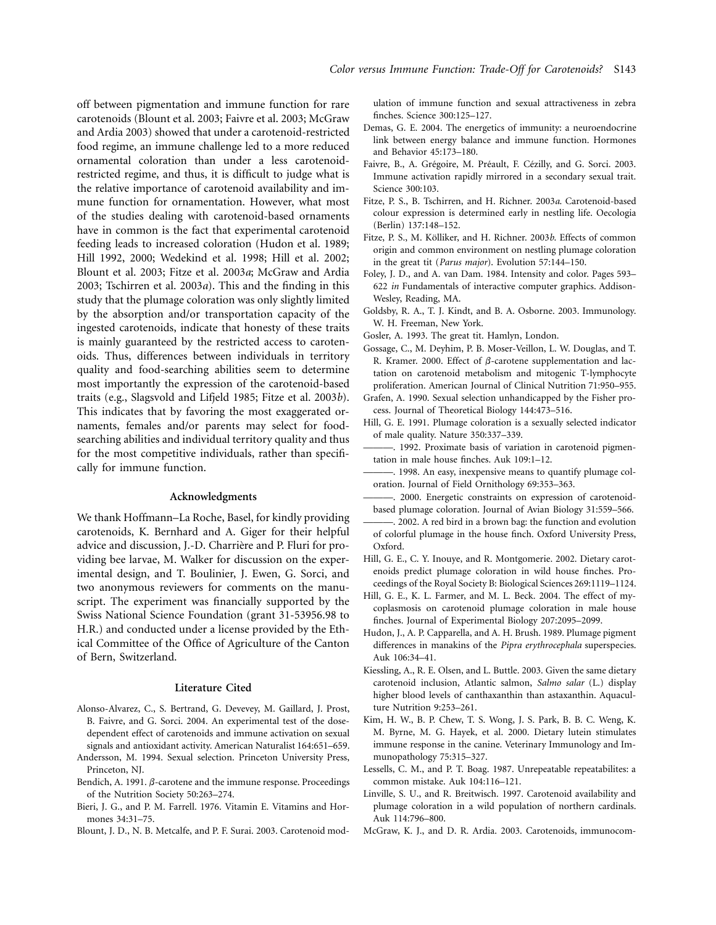off between pigmentation and immune function for rare carotenoids (Blount et al. 2003; Faivre et al. 2003; McGraw and Ardia 2003) showed that under a carotenoid-restricted food regime, an immune challenge led to a more reduced ornamental coloration than under a less carotenoidrestricted regime, and thus, it is difficult to judge what is the relative importance of carotenoid availability and immune function for ornamentation. However, what most of the studies dealing with carotenoid-based ornaments have in common is the fact that experimental carotenoid feeding leads to increased coloration (Hudon et al. 1989; Hill 1992, 2000; Wedekind et al. 1998; Hill et al. 2002; Blount et al. 2003; Fitze et al. 2003*a*; McGraw and Ardia 2003; Tschirren et al. 2003*a*). This and the finding in this study that the plumage coloration was only slightly limited by the absorption and/or transportation capacity of the ingested carotenoids, indicate that honesty of these traits is mainly guaranteed by the restricted access to carotenoids. Thus, differences between individuals in territory quality and food-searching abilities seem to determine most importantly the expression of the carotenoid-based traits (e.g., Slagsvold and Lifjeld 1985; Fitze et al. 2003*b*). This indicates that by favoring the most exaggerated ornaments, females and/or parents may select for foodsearching abilities and individual territory quality and thus for the most competitive individuals, rather than specifically for immune function.

#### **Acknowledgments**

We thank Hoffmann–La Roche, Basel, for kindly providing carotenoids, K. Bernhard and A. Giger for their helpful advice and discussion, J.-D. Charrière and P. Fluri for providing bee larvae, M. Walker for discussion on the experimental design, and T. Boulinier, J. Ewen, G. Sorci, and two anonymous reviewers for comments on the manuscript. The experiment was financially supported by the Swiss National Science Foundation (grant 31-53956.98 to H.R.) and conducted under a license provided by the Ethical Committee of the Office of Agriculture of the Canton of Bern, Switzerland.

#### **Literature Cited**

- Alonso-Alvarez, C., S. Bertrand, G. Devevey, M. Gaillard, J. Prost, B. Faivre, and G. Sorci. 2004. An experimental test of the dosedependent effect of carotenoids and immune activation on sexual signals and antioxidant activity. American Naturalist 164:651–659.
- Andersson, M. 1994. Sexual selection. Princeton University Press, Princeton, NJ.
- Bendich, A. 1991.  $\beta$ -carotene and the immune response. Proceedings of the Nutrition Society 50:263–274.
- Bieri, J. G., and P. M. Farrell. 1976. Vitamin E. Vitamins and Hormones 34:31–75.
- Blount, J. D., N. B. Metcalfe, and P. F. Surai. 2003. Carotenoid mod-

ulation of immune function and sexual attractiveness in zebra finches. Science 300:125–127.

- Demas, G. E. 2004. The energetics of immunity: a neuroendocrine link between energy balance and immune function. Hormones and Behavior 45:173–180.
- Faivre, B., A. Grégoire, M. Préault, F. Cézilly, and G. Sorci. 2003. Immune activation rapidly mirrored in a secondary sexual trait. Science 300:103.
- Fitze, P. S., B. Tschirren, and H. Richner. 2003*a*. Carotenoid-based colour expression is determined early in nestling life. Oecologia (Berlin) 137:148–152.
- Fitze, P. S., M. Kölliker, and H. Richner. 2003*b*. Effects of common origin and common environment on nestling plumage coloration in the great tit (*Parus major*). Evolution 57:144–150.
- Foley, J. D., and A. van Dam. 1984. Intensity and color. Pages 593– 622 *in* Fundamentals of interactive computer graphics. Addison-Wesley, Reading, MA.
- Goldsby, R. A., T. J. Kindt, and B. A. Osborne. 2003. Immunology. W. H. Freeman, New York.
- Gosler, A. 1993. The great tit. Hamlyn, London.
- Gossage, C., M. Deyhim, P. B. Moser-Veillon, L. W. Douglas, and T. R. Kramer. 2000. Effect of  $\beta$ -carotene supplementation and lactation on carotenoid metabolism and mitogenic T-lymphocyte proliferation. American Journal of Clinical Nutrition 71:950–955.
- Grafen, A. 1990. Sexual selection unhandicapped by the Fisher process. Journal of Theoretical Biology 144:473–516.
- Hill, G. E. 1991. Plumage coloration is a sexually selected indicator of male quality. Nature 350:337–339.
- ———. 1992. Proximate basis of variation in carotenoid pigmentation in male house finches. Auk 109:1–12.
- -. 1998. An easy, inexpensive means to quantify plumage coloration. Journal of Field Ornithology 69:353–363.
- ———. 2000. Energetic constraints on expression of carotenoidbased plumage coloration. Journal of Avian Biology 31:559–566.
- -. 2002. A red bird in a brown bag: the function and evolution of colorful plumage in the house finch. Oxford University Press, Oxford.
- Hill, G. E., C. Y. Inouye, and R. Montgomerie. 2002. Dietary carotenoids predict plumage coloration in wild house finches. Proceedings of the Royal Society B: Biological Sciences 269:1119–1124.
- Hill, G. E., K. L. Farmer, and M. L. Beck. 2004. The effect of mycoplasmosis on carotenoid plumage coloration in male house finches. Journal of Experimental Biology 207:2095–2099.
- Hudon, J., A. P. Capparella, and A. H. Brush. 1989. Plumage pigment differences in manakins of the *Pipra erythrocephala* superspecies. Auk 106:34–41.
- Kiessling, A., R. E. Olsen, and L. Buttle. 2003. Given the same dietary carotenoid inclusion, Atlantic salmon, *Salmo salar* (L.) display higher blood levels of canthaxanthin than astaxanthin. Aquaculture Nutrition 9:253–261.
- Kim, H. W., B. P. Chew, T. S. Wong, J. S. Park, B. B. C. Weng, K. M. Byrne, M. G. Hayek, et al. 2000. Dietary lutein stimulates immune response in the canine. Veterinary Immunology and Immunopathology 75:315–327.
- Lessells, C. M., and P. T. Boag. 1987. Unrepeatable repeatabilites: a common mistake. Auk 104:116–121.
- Linville, S. U., and R. Breitwisch. 1997. Carotenoid availability and plumage coloration in a wild population of northern cardinals. Auk 114:796–800.
- McGraw, K. J., and D. R. Ardia. 2003. Carotenoids, immunocom-